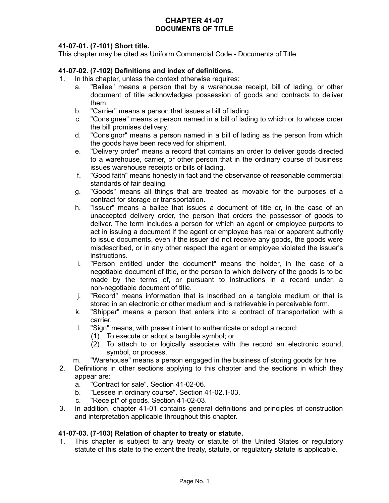# **CHAPTER 41-07 DOCUMENTS OF TITLE**

# **41-07-01. (7-101) Short title.**

This chapter may be cited as Uniform Commercial Code - Documents of Title.

### **41-07-02. (7-102) Definitions and index of definitions.**

- 1. In this chapter, unless the context otherwise requires:
	- a. "Bailee" means a person that by a warehouse receipt, bill of lading, or other document of title acknowledges possession of goods and contracts to deliver them.
	- b. "Carrier" means a person that issues a bill of lading.
	- c. "Consignee" means a person named in a bill of lading to which or to whose order the bill promises delivery.
	- d. "Consignor" means a person named in a bill of lading as the person from which the goods have been received for shipment.
	- e. "Delivery order" means a record that contains an order to deliver goods directed to a warehouse, carrier, or other person that in the ordinary course of business issues warehouse receipts or bills of lading.
	- f. "Good faith" means honesty in fact and the observance of reasonable commercial standards of fair dealing.
	- g. "Goods" means all things that are treated as movable for the purposes of a contract for storage or transportation.
	- h. "Issuer" means a bailee that issues a document of title or, in the case of an unaccepted delivery order, the person that orders the possessor of goods to deliver. The term includes a person for which an agent or employee purports to act in issuing a document if the agent or employee has real or apparent authority to issue documents, even if the issuer did not receive any goods, the goods were misdescribed, or in any other respect the agent or employee violated the issuer's instructions.
	- i. "Person entitled under the document" means the holder, in the case of a negotiable document of title, or the person to which delivery of the goods is to be made by the terms of, or pursuant to instructions in a record under, a non-negotiable document of title.
	- j. "Record" means information that is inscribed on a tangible medium or that is stored in an electronic or other medium and is retrievable in perceivable form.
	- k. "Shipper" means a person that enters into a contract of transportation with a carrier.
	- l. "Sign" means, with present intent to authenticate or adopt a record:
		- (1) To execute or adopt a tangible symbol; or
		- (2) To attach to or logically associate with the record an electronic sound, symbol, or process.
	- m. "Warehouse" means a person engaged in the business of storing goods for hire.
- 2. Definitions in other sections applying to this chapter and the sections in which they appear are:
	- a. "Contract for sale". Section 41-02-06.
	- b. "Lessee in ordinary course". Section 41-02.1-03.
	- c. "Receipt" of goods. Section 41-02-03.
- 3. In addition, chapter 41-01 contains general definitions and principles of construction and interpretation applicable throughout this chapter.

## **41-07-03. (7-103) Relation of chapter to treaty or statute.**

1. This chapter is subject to any treaty or statute of the United States or regulatory statute of this state to the extent the treaty, statute, or regulatory statute is applicable.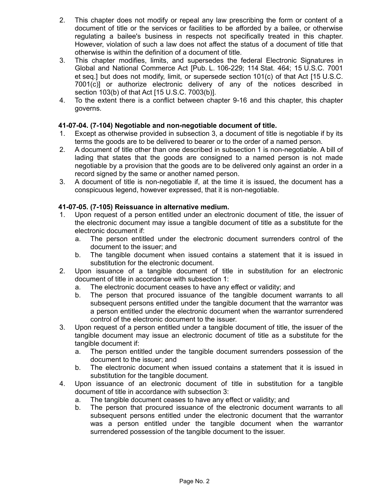- 2. This chapter does not modify or repeal any law prescribing the form or content of a document of title or the services or facilities to be afforded by a bailee, or otherwise regulating a bailee's business in respects not specifically treated in this chapter. However, violation of such a law does not affect the status of a document of title that otherwise is within the definition of a document of title.
- 3. This chapter modifies, limits, and supersedes the federal Electronic Signatures in Global and National Commerce Act [Pub. L. 106-229; 114 Stat. 464; 15 U.S.C. 7001 et seq.] but does not modify, limit, or supersede section 101(c) of that Act [15 U.S.C. 7001(c)] or authorize electronic delivery of any of the notices described in section 103(b) of that Act [15 U.S.C. 7003(b)].
- 4. To the extent there is a conflict between chapter 9-16 and this chapter, this chapter governs.

## **41-07-04. (7-104) Negotiable and non-negotiable document of title.**

- 1. Except as otherwise provided in subsection 3, a document of title is negotiable if by its terms the goods are to be delivered to bearer or to the order of a named person.
- 2. A document of title other than one described in subsection 1 is non-negotiable. A bill of lading that states that the goods are consigned to a named person is not made negotiable by a provision that the goods are to be delivered only against an order in a record signed by the same or another named person.
- 3. A document of title is non-negotiable if, at the time it is issued, the document has a conspicuous legend, however expressed, that it is non-negotiable.

### **41-07-05. (7-105) Reissuance in alternative medium.**

- 1. Upon request of a person entitled under an electronic document of title, the issuer of the electronic document may issue a tangible document of title as a substitute for the electronic document if:
	- a. The person entitled under the electronic document surrenders control of the document to the issuer; and
	- b. The tangible document when issued contains a statement that it is issued in substitution for the electronic document.
- 2. Upon issuance of a tangible document of title in substitution for an electronic document of title in accordance with subsection 1:
	- a. The electronic document ceases to have any effect or validity; and
	- b. The person that procured issuance of the tangible document warrants to all subsequent persons entitled under the tangible document that the warrantor was a person entitled under the electronic document when the warrantor surrendered control of the electronic document to the issuer.
- 3. Upon request of a person entitled under a tangible document of title, the issuer of the tangible document may issue an electronic document of title as a substitute for the tangible document if:
	- a. The person entitled under the tangible document surrenders possession of the document to the issuer; and
	- b. The electronic document when issued contains a statement that it is issued in substitution for the tangible document.
- 4. Upon issuance of an electronic document of title in substitution for a tangible document of title in accordance with subsection 3:
	- a. The tangible document ceases to have any effect or validity; and
	- b. The person that procured issuance of the electronic document warrants to all subsequent persons entitled under the electronic document that the warrantor was a person entitled under the tangible document when the warrantor surrendered possession of the tangible document to the issuer.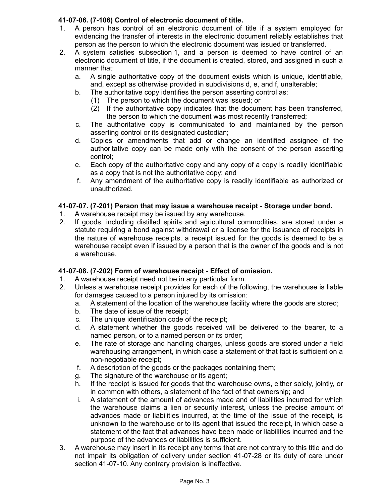# **41-07-06. (7-106) Control of electronic document of title.**

- 1. A person has control of an electronic document of title if a system employed for evidencing the transfer of interests in the electronic document reliably establishes that person as the person to which the electronic document was issued or transferred.
- 2. A system satisfies subsection 1, and a person is deemed to have control of an electronic document of title, if the document is created, stored, and assigned in such a manner that:
	- a. A single authoritative copy of the document exists which is unique, identifiable, and, except as otherwise provided in subdivisions d, e, and f, unalterable;
	- b. The authoritative copy identifies the person asserting control as:
		- (1) The person to which the document was issued; or
			- (2) If the authoritative copy indicates that the document has been transferred, the person to which the document was most recently transferred;
	- c. The authoritative copy is communicated to and maintained by the person asserting control or its designated custodian;
	- d. Copies or amendments that add or change an identified assignee of the authoritative copy can be made only with the consent of the person asserting control;
	- e. Each copy of the authoritative copy and any copy of a copy is readily identifiable as a copy that is not the authoritative copy; and
	- f. Any amendment of the authoritative copy is readily identifiable as authorized or unauthorized.

# **41-07-07. (7-201) Person that may issue a warehouse receipt - Storage under bond.**

- 1. A warehouse receipt may be issued by any warehouse.
- 2. If goods, including distilled spirits and agricultural commodities, are stored under a statute requiring a bond against withdrawal or a license for the issuance of receipts in the nature of warehouse receipts, a receipt issued for the goods is deemed to be a warehouse receipt even if issued by a person that is the owner of the goods and is not a warehouse.

## **41-07-08. (7-202) Form of warehouse receipt - Effect of omission.**

- 1. A warehouse receipt need not be in any particular form.
- 2. Unless a warehouse receipt provides for each of the following, the warehouse is liable for damages caused to a person injured by its omission:
	- a. A statement of the location of the warehouse facility where the goods are stored;
	- b. The date of issue of the receipt;
	- c. The unique identification code of the receipt;
	- d. A statement whether the goods received will be delivered to the bearer, to a named person, or to a named person or its order;
	- e. The rate of storage and handling charges, unless goods are stored under a field warehousing arrangement, in which case a statement of that fact is sufficient on a non-negotiable receipt;
	- f. A description of the goods or the packages containing them;
	- g. The signature of the warehouse or its agent;
	- h. If the receipt is issued for goods that the warehouse owns, either solely, jointly, or in common with others, a statement of the fact of that ownership; and
	- i. A statement of the amount of advances made and of liabilities incurred for which the warehouse claims a lien or security interest, unless the precise amount of advances made or liabilities incurred, at the time of the issue of the receipt, is unknown to the warehouse or to its agent that issued the receipt, in which case a statement of the fact that advances have been made or liabilities incurred and the purpose of the advances or liabilities is sufficient.
- 3. A warehouse may insert in its receipt any terms that are not contrary to this title and do not impair its obligation of delivery under section 41-07-28 or its duty of care under section 41-07-10. Any contrary provision is ineffective.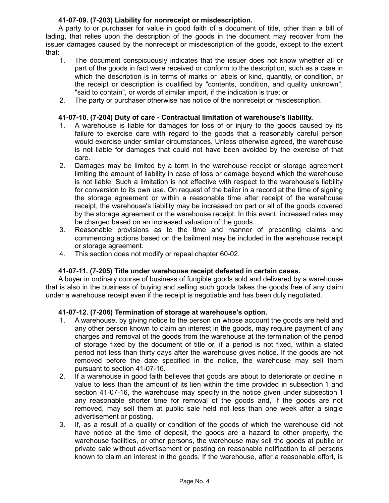## **41-07-09. (7-203) Liability for nonreceipt or misdescription.**

A party to or purchaser for value in good faith of a document of title, other than a bill of lading, that relies upon the description of the goods in the document may recover from the issuer damages caused by the nonreceipt or misdescription of the goods, except to the extent that:

- 1. The document conspicuously indicates that the issuer does not know whether all or part of the goods in fact were received or conform to the description, such as a case in which the description is in terms of marks or labels or kind, quantity, or condition, or the receipt or description is qualified by "contents, condition, and quality unknown", "said to contain", or words of similar import, if the indication is true; or
- 2. The party or purchaser otherwise has notice of the nonreceipt or misdescription.

## **41-07-10. (7-204) Duty of care - Contractual limitation of warehouse's liability.**

- 1. A warehouse is liable for damages for loss of or injury to the goods caused by its failure to exercise care with regard to the goods that a reasonably careful person would exercise under similar circumstances. Unless otherwise agreed, the warehouse is not liable for damages that could not have been avoided by the exercise of that care.
- 2. Damages may be limited by a term in the warehouse receipt or storage agreement limiting the amount of liability in case of loss or damage beyond which the warehouse is not liable. Such a limitation is not effective with respect to the warehouse's liability for conversion to its own use. On request of the bailor in a record at the time of signing the storage agreement or within a reasonable time after receipt of the warehouse receipt, the warehouse's liability may be increased on part or all of the goods covered by the storage agreement or the warehouse receipt. In this event, increased rates may be charged based on an increased valuation of the goods.
- 3. Reasonable provisions as to the time and manner of presenting claims and commencing actions based on the bailment may be included in the warehouse receipt or storage agreement.
- 4. This section does not modify or repeal chapter 60-02.

## **41-07-11. (7-205) Title under warehouse receipt defeated in certain cases.**

A buyer in ordinary course of business of fungible goods sold and delivered by a warehouse that is also in the business of buying and selling such goods takes the goods free of any claim under a warehouse receipt even if the receipt is negotiable and has been duly negotiated.

## **41-07-12. (7-206) Termination of storage at warehouse's option.**

- 1. A warehouse, by giving notice to the person on whose account the goods are held and any other person known to claim an interest in the goods, may require payment of any charges and removal of the goods from the warehouse at the termination of the period of storage fixed by the document of title or, if a period is not fixed, within a stated period not less than thirty days after the warehouse gives notice. If the goods are not removed before the date specified in the notice, the warehouse may sell them pursuant to section 41-07-16.
- 2. If a warehouse in good faith believes that goods are about to deteriorate or decline in value to less than the amount of its lien within the time provided in subsection 1 and section 41-07-16, the warehouse may specify in the notice given under subsection 1 any reasonable shorter time for removal of the goods and, if the goods are not removed, may sell them at public sale held not less than one week after a single advertisement or posting.
- 3. If, as a result of a quality or condition of the goods of which the warehouse did not have notice at the time of deposit, the goods are a hazard to other property, the warehouse facilities, or other persons, the warehouse may sell the goods at public or private sale without advertisement or posting on reasonable notification to all persons known to claim an interest in the goods. If the warehouse, after a reasonable effort, is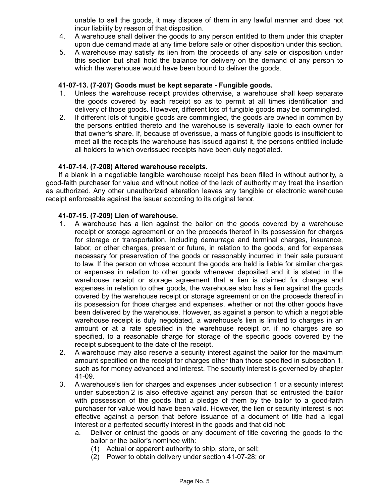unable to sell the goods, it may dispose of them in any lawful manner and does not incur liability by reason of that disposition.

- 4. A warehouse shall deliver the goods to any person entitled to them under this chapter upon due demand made at any time before sale or other disposition under this section.
- 5. A warehouse may satisfy its lien from the proceeds of any sale or disposition under this section but shall hold the balance for delivery on the demand of any person to which the warehouse would have been bound to deliver the goods.

## **41-07-13. (7-207) Goods must be kept separate - Fungible goods.**

- 1. Unless the warehouse receipt provides otherwise, a warehouse shall keep separate the goods covered by each receipt so as to permit at all times identification and delivery of those goods. However, different lots of fungible goods may be commingled.
- 2. If different lots of fungible goods are commingled, the goods are owned in common by the persons entitled thereto and the warehouse is severally liable to each owner for that owner's share. If, because of overissue, a mass of fungible goods is insufficient to meet all the receipts the warehouse has issued against it, the persons entitled include all holders to which overissued receipts have been duly negotiated.

### **41-07-14. (7-208) Altered warehouse receipts.**

If a blank in a negotiable tangible warehouse receipt has been filled in without authority, a good-faith purchaser for value and without notice of the lack of authority may treat the insertion as authorized. Any other unauthorized alteration leaves any tangible or electronic warehouse receipt enforceable against the issuer according to its original tenor.

#### **41-07-15. (7-209) Lien of warehouse.**

- 1. A warehouse has a lien against the bailor on the goods covered by a warehouse receipt or storage agreement or on the proceeds thereof in its possession for charges for storage or transportation, including demurrage and terminal charges, insurance, labor, or other charges, present or future, in relation to the goods, and for expenses necessary for preservation of the goods or reasonably incurred in their sale pursuant to law. If the person on whose account the goods are held is liable for similar charges or expenses in relation to other goods whenever deposited and it is stated in the warehouse receipt or storage agreement that a lien is claimed for charges and expenses in relation to other goods, the warehouse also has a lien against the goods covered by the warehouse receipt or storage agreement or on the proceeds thereof in its possession for those charges and expenses, whether or not the other goods have been delivered by the warehouse. However, as against a person to which a negotiable warehouse receipt is duly negotiated, a warehouse's lien is limited to charges in an amount or at a rate specified in the warehouse receipt or, if no charges are so specified, to a reasonable charge for storage of the specific goods covered by the receipt subsequent to the date of the receipt.
- 2. A warehouse may also reserve a security interest against the bailor for the maximum amount specified on the receipt for charges other than those specified in subsection 1, such as for money advanced and interest. The security interest is governed by chapter 41-09.
- 3. A warehouse's lien for charges and expenses under subsection 1 or a security interest under subsection 2 is also effective against any person that so entrusted the bailor with possession of the goods that a pledge of them by the bailor to a good-faith purchaser for value would have been valid. However, the lien or security interest is not effective against a person that before issuance of a document of title had a legal interest or a perfected security interest in the goods and that did not:
	- a. Deliver or entrust the goods or any document of title covering the goods to the bailor or the bailor's nominee with:
		- (1) Actual or apparent authority to ship, store, or sell;
		- (2) Power to obtain delivery under section 41-07-28; or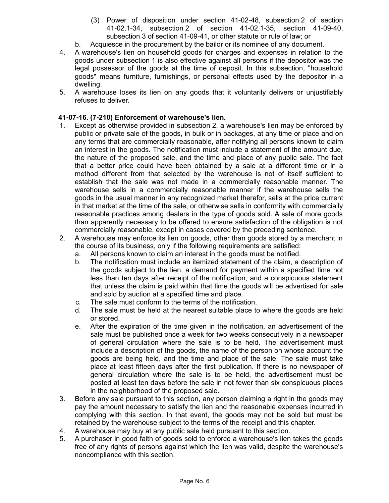- (3) Power of disposition under section 41-02-48, subsection 2 of section 41-02.1-34, subsection 2 of section 41-02.1-35, section 41-09-40, subsection 3 of section 41-09-41, or other statute or rule of law; or
- b. Acquiesce in the procurement by the bailor or its nominee of any document.
- 4. A warehouse's lien on household goods for charges and expenses in relation to the goods under subsection 1 is also effective against all persons if the depositor was the legal possessor of the goods at the time of deposit. In this subsection, "household goods" means furniture, furnishings, or personal effects used by the depositor in a dwelling.
- 5. A warehouse loses its lien on any goods that it voluntarily delivers or unjustifiably refuses to deliver.

## **41-07-16. (7-210) Enforcement of warehouse's lien.**

- 1. Except as otherwise provided in subsection 2, a warehouse's lien may be enforced by public or private sale of the goods, in bulk or in packages, at any time or place and on any terms that are commercially reasonable, after notifying all persons known to claim an interest in the goods. The notification must include a statement of the amount due, the nature of the proposed sale, and the time and place of any public sale. The fact that a better price could have been obtained by a sale at a different time or in a method different from that selected by the warehouse is not of itself sufficient to establish that the sale was not made in a commercially reasonable manner. The warehouse sells in a commercially reasonable manner if the warehouse sells the goods in the usual manner in any recognized market therefor, sells at the price current in that market at the time of the sale, or otherwise sells in conformity with commercially reasonable practices among dealers in the type of goods sold. A sale of more goods than apparently necessary to be offered to ensure satisfaction of the obligation is not commercially reasonable, except in cases covered by the preceding sentence.
- 2. A warehouse may enforce its lien on goods, other than goods stored by a merchant in the course of its business, only if the following requirements are satisfied:
	- a. All persons known to claim an interest in the goods must be notified.
	- b. The notification must include an itemized statement of the claim, a description of the goods subject to the lien, a demand for payment within a specified time not less than ten days after receipt of the notification, and a conspicuous statement that unless the claim is paid within that time the goods will be advertised for sale and sold by auction at a specified time and place.
	- c. The sale must conform to the terms of the notification.
	- d. The sale must be held at the nearest suitable place to where the goods are held or stored.
	- e. After the expiration of the time given in the notification, an advertisement of the sale must be published once a week for two weeks consecutively in a newspaper of general circulation where the sale is to be held. The advertisement must include a description of the goods, the name of the person on whose account the goods are being held, and the time and place of the sale. The sale must take place at least fifteen days after the first publication. If there is no newspaper of general circulation where the sale is to be held, the advertisement must be posted at least ten days before the sale in not fewer than six conspicuous places in the neighborhood of the proposed sale.
- 3. Before any sale pursuant to this section, any person claiming a right in the goods may pay the amount necessary to satisfy the lien and the reasonable expenses incurred in complying with this section. In that event, the goods may not be sold but must be retained by the warehouse subject to the terms of the receipt and this chapter.
- 4. A warehouse may buy at any public sale held pursuant to this section.
- 5. A purchaser in good faith of goods sold to enforce a warehouse's lien takes the goods free of any rights of persons against which the lien was valid, despite the warehouse's noncompliance with this section.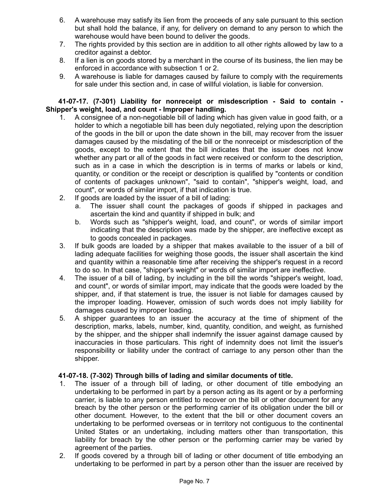- 6. A warehouse may satisfy its lien from the proceeds of any sale pursuant to this section but shall hold the balance, if any, for delivery on demand to any person to which the warehouse would have been bound to deliver the goods.
- 7. The rights provided by this section are in addition to all other rights allowed by law to a creditor against a debtor.
- 8. If a lien is on goods stored by a merchant in the course of its business, the lien may be enforced in accordance with subsection 1 or 2.
- 9. A warehouse is liable for damages caused by failure to comply with the requirements for sale under this section and, in case of willful violation, is liable for conversion.

## **41-07-17. (7-301) Liability for nonreceipt or misdescription - Said to contain - Shipper's weight, load, and count - Improper handling.**

- 1. A consignee of a non-negotiable bill of lading which has given value in good faith, or a holder to which a negotiable bill has been duly negotiated, relying upon the description of the goods in the bill or upon the date shown in the bill, may recover from the issuer damages caused by the misdating of the bill or the nonreceipt or misdescription of the goods, except to the extent that the bill indicates that the issuer does not know whether any part or all of the goods in fact were received or conform to the description, such as in a case in which the description is in terms of marks or labels or kind, quantity, or condition or the receipt or description is qualified by "contents or condition of contents of packages unknown", "said to contain", "shipper's weight, load, and count", or words of similar import, if that indication is true.
- 2. If goods are loaded by the issuer of a bill of lading:
	- a. The issuer shall count the packages of goods if shipped in packages and ascertain the kind and quantity if shipped in bulk; and
	- b. Words such as "shipper's weight, load, and count", or words of similar import indicating that the description was made by the shipper, are ineffective except as to goods concealed in packages.
- 3. If bulk goods are loaded by a shipper that makes available to the issuer of a bill of lading adequate facilities for weighing those goods, the issuer shall ascertain the kind and quantity within a reasonable time after receiving the shipper's request in a record to do so. In that case, "shipper's weight" or words of similar import are ineffective.
- 4. The issuer of a bill of lading, by including in the bill the words "shipper's weight, load, and count", or words of similar import, may indicate that the goods were loaded by the shipper, and, if that statement is true, the issuer is not liable for damages caused by the improper loading. However, omission of such words does not imply liability for damages caused by improper loading.
- 5. A shipper guarantees to an issuer the accuracy at the time of shipment of the description, marks, labels, number, kind, quantity, condition, and weight, as furnished by the shipper, and the shipper shall indemnify the issuer against damage caused by inaccuracies in those particulars. This right of indemnity does not limit the issuer's responsibility or liability under the contract of carriage to any person other than the shipper.

## **41-07-18. (7-302) Through bills of lading and similar documents of title.**

- 1. The issuer of a through bill of lading, or other document of title embodying an undertaking to be performed in part by a person acting as its agent or by a performing carrier, is liable to any person entitled to recover on the bill or other document for any breach by the other person or the performing carrier of its obligation under the bill or other document. However, to the extent that the bill or other document covers an undertaking to be performed overseas or in territory not contiguous to the continental United States or an undertaking, including matters other than transportation, this liability for breach by the other person or the performing carrier may be varied by agreement of the parties.
- 2. If goods covered by a through bill of lading or other document of title embodying an undertaking to be performed in part by a person other than the issuer are received by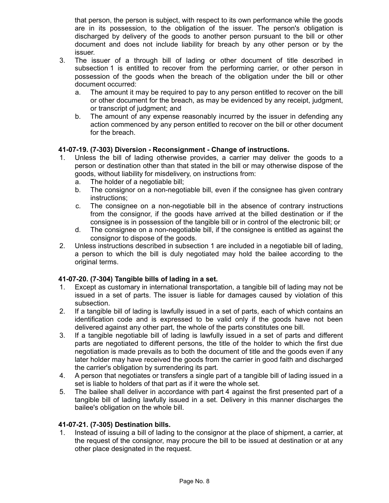that person, the person is subject, with respect to its own performance while the goods are in its possession, to the obligation of the issuer. The person's obligation is discharged by delivery of the goods to another person pursuant to the bill or other document and does not include liability for breach by any other person or by the issuer.

- 3. The issuer of a through bill of lading or other document of title described in subsection 1 is entitled to recover from the performing carrier, or other person in possession of the goods when the breach of the obligation under the bill or other document occurred:
	- a. The amount it may be required to pay to any person entitled to recover on the bill or other document for the breach, as may be evidenced by any receipt, judgment, or transcript of judgment; and
	- b. The amount of any expense reasonably incurred by the issuer in defending any action commenced by any person entitled to recover on the bill or other document for the breach.

# **41-07-19. (7-303) Diversion - Reconsignment - Change of instructions.**

- 1. Unless the bill of lading otherwise provides, a carrier may deliver the goods to a person or destination other than that stated in the bill or may otherwise dispose of the goods, without liability for misdelivery, on instructions from:
	- a. The holder of a negotiable bill;
	- b. The consignor on a non-negotiable bill, even if the consignee has given contrary instructions;
	- c. The consignee on a non-negotiable bill in the absence of contrary instructions from the consignor, if the goods have arrived at the billed destination or if the consignee is in possession of the tangible bill or in control of the electronic bill; or
	- d. The consignee on a non-negotiable bill, if the consignee is entitled as against the consignor to dispose of the goods.
- 2. Unless instructions described in subsection 1 are included in a negotiable bill of lading, a person to which the bill is duly negotiated may hold the bailee according to the original terms.

## **41-07-20. (7-304) Tangible bills of lading in a set.**

- 1. Except as customary in international transportation, a tangible bill of lading may not be issued in a set of parts. The issuer is liable for damages caused by violation of this subsection.
- 2. If a tangible bill of lading is lawfully issued in a set of parts, each of which contains an identification code and is expressed to be valid only if the goods have not been delivered against any other part, the whole of the parts constitutes one bill.
- 3. If a tangible negotiable bill of lading is lawfully issued in a set of parts and different parts are negotiated to different persons, the title of the holder to which the first due negotiation is made prevails as to both the document of title and the goods even if any later holder may have received the goods from the carrier in good faith and discharged the carrier's obligation by surrendering its part.
- 4. A person that negotiates or transfers a single part of a tangible bill of lading issued in a set is liable to holders of that part as if it were the whole set.
- 5. The bailee shall deliver in accordance with part 4 against the first presented part of a tangible bill of lading lawfully issued in a set. Delivery in this manner discharges the bailee's obligation on the whole bill.

## **41-07-21. (7-305) Destination bills.**

1. Instead of issuing a bill of lading to the consignor at the place of shipment, a carrier, at the request of the consignor, may procure the bill to be issued at destination or at any other place designated in the request.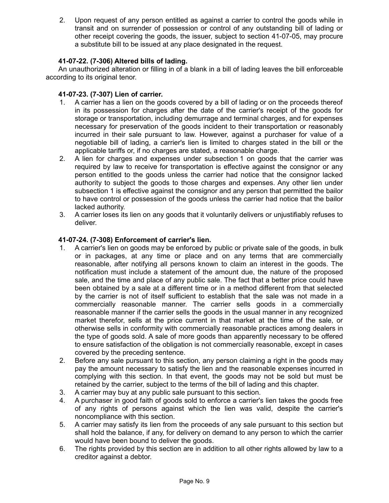2. Upon request of any person entitled as against a carrier to control the goods while in transit and on surrender of possession or control of any outstanding bill of lading or other receipt covering the goods, the issuer, subject to section 41-07-05, may procure a substitute bill to be issued at any place designated in the request.

# **41-07-22. (7-306) Altered bills of lading.**

An unauthorized alteration or filling in of a blank in a bill of lading leaves the bill enforceable according to its original tenor.

# **41-07-23. (7-307) Lien of carrier.**

- 1. A carrier has a lien on the goods covered by a bill of lading or on the proceeds thereof in its possession for charges after the date of the carrier's receipt of the goods for storage or transportation, including demurrage and terminal charges, and for expenses necessary for preservation of the goods incident to their transportation or reasonably incurred in their sale pursuant to law. However, against a purchaser for value of a negotiable bill of lading, a carrier's lien is limited to charges stated in the bill or the applicable tariffs or, if no charges are stated, a reasonable charge.
- 2. A lien for charges and expenses under subsection 1 on goods that the carrier was required by law to receive for transportation is effective against the consignor or any person entitled to the goods unless the carrier had notice that the consignor lacked authority to subject the goods to those charges and expenses. Any other lien under subsection 1 is effective against the consignor and any person that permitted the bailor to have control or possession of the goods unless the carrier had notice that the bailor lacked authority.
- 3. A carrier loses its lien on any goods that it voluntarily delivers or unjustifiably refuses to deliver.

# **41-07-24. (7-308) Enforcement of carrier's lien.**

- 1. A carrier's lien on goods may be enforced by public or private sale of the goods, in bulk or in packages, at any time or place and on any terms that are commercially reasonable, after notifying all persons known to claim an interest in the goods. The notification must include a statement of the amount due, the nature of the proposed sale, and the time and place of any public sale. The fact that a better price could have been obtained by a sale at a different time or in a method different from that selected by the carrier is not of itself sufficient to establish that the sale was not made in a commercially reasonable manner. The carrier sells goods in a commercially reasonable manner if the carrier sells the goods in the usual manner in any recognized market therefor, sells at the price current in that market at the time of the sale, or otherwise sells in conformity with commercially reasonable practices among dealers in the type of goods sold. A sale of more goods than apparently necessary to be offered to ensure satisfaction of the obligation is not commercially reasonable, except in cases covered by the preceding sentence.
- 2. Before any sale pursuant to this section, any person claiming a right in the goods may pay the amount necessary to satisfy the lien and the reasonable expenses incurred in complying with this section. In that event, the goods may not be sold but must be retained by the carrier, subject to the terms of the bill of lading and this chapter.
- 3. A carrier may buy at any public sale pursuant to this section.
- 4. A purchaser in good faith of goods sold to enforce a carrier's lien takes the goods free of any rights of persons against which the lien was valid, despite the carrier's noncompliance with this section.
- 5. A carrier may satisfy its lien from the proceeds of any sale pursuant to this section but shall hold the balance, if any, for delivery on demand to any person to which the carrier would have been bound to deliver the goods.
- 6. The rights provided by this section are in addition to all other rights allowed by law to a creditor against a debtor.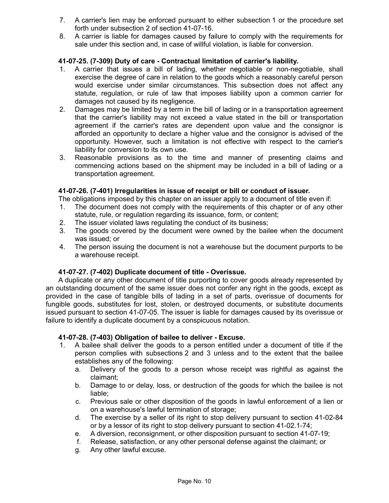- 7. A carrier's lien may be enforced pursuant to either subsection 1 or the procedure set forth under subsection 2 of section 41-07-16.
- 8. A carrier is liable for damages caused by failure to comply with the requirements for sale under this section and, in case of willful violation, is liable for conversion.

# **41-07-25. (7-309) Duty of care - Contractual limitation of carrier's liability.**

- 1. A carrier that issues a bill of lading, whether negotiable or non-negotiable, shall exercise the degree of care in relation to the goods which a reasonably careful person would exercise under similar circumstances. This subsection does not affect any statute, regulation, or rule of law that imposes liability upon a common carrier for damages not caused by its negligence.
- 2. Damages may be limited by a term in the bill of lading or in a transportation agreement that the carrier's liability may not exceed a value stated in the bill or transportation agreement if the carrier's rates are dependent upon value and the consignor is afforded an opportunity to declare a higher value and the consignor is advised of the opportunity. However, such a limitation is not effective with respect to the carrier's liability for conversion to its own use.
- 3. Reasonable provisions as to the time and manner of presenting claims and commencing actions based on the shipment may be included in a bill of lading or a transportation agreement.

## **41-07-26. (7-401) Irregularities in issue of receipt or bill or conduct of issuer.**

The obligations imposed by this chapter on an issuer apply to a document of title even if:

- 1. The document does not comply with the requirements of this chapter or of any other statute, rule, or regulation regarding its issuance, form, or content;
- 2. The issuer violated laws regulating the conduct of its business;
- 3. The goods covered by the document were owned by the bailee when the document was issued; or
- 4. The person issuing the document is not a warehouse but the document purports to be a warehouse receipt.

## **41-07-27. (7-402) Duplicate document of title - Overissue.**

A duplicate or any other document of title purporting to cover goods already represented by an outstanding document of the same issuer does not confer any right in the goods, except as provided in the case of tangible bills of lading in a set of parts, overissue of documents for fungible goods, substitutes for lost, stolen, or destroyed documents, or substitute documents issued pursuant to section 41-07-05. The issuer is liable for damages caused by its overissue or failure to identify a duplicate document by a conspicuous notation.

## **41-07-28. (7-403) Obligation of bailee to deliver - Excuse.**

- 1. A bailee shall deliver the goods to a person entitled under a document of title if the person complies with subsections 2 and 3 unless and to the extent that the bailee establishes any of the following:
	- a. Delivery of the goods to a person whose receipt was rightful as against the claimant;
	- b. Damage to or delay, loss, or destruction of the goods for which the bailee is not liable;
	- c. Previous sale or other disposition of the goods in lawful enforcement of a lien or on a warehouse's lawful termination of storage;
	- d. The exercise by a seller of its right to stop delivery pursuant to section 41-02-84 or by a lessor of its right to stop delivery pursuant to section 41-02.1-74;
	- e. A diversion, reconsignment, or other disposition pursuant to section 41-07-19;
	- f. Release, satisfaction, or any other personal defense against the claimant; or
	- g. Any other lawful excuse.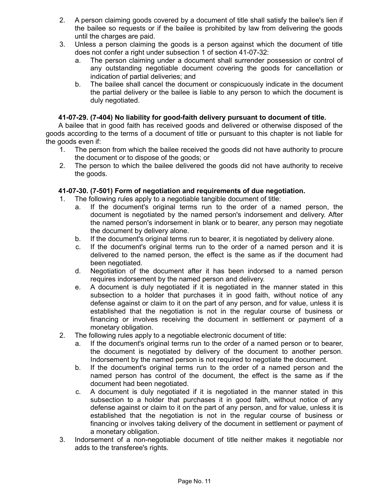- 2. A person claiming goods covered by a document of title shall satisfy the bailee's lien if the bailee so requests or if the bailee is prohibited by law from delivering the goods until the charges are paid.
- 3. Unless a person claiming the goods is a person against which the document of title does not confer a right under subsection 1 of section 41-07-32:
	- a. The person claiming under a document shall surrender possession or control of any outstanding negotiable document covering the goods for cancellation or indication of partial deliveries; and
	- b. The bailee shall cancel the document or conspicuously indicate in the document the partial delivery or the bailee is liable to any person to which the document is duly negotiated.

## **41-07-29. (7-404) No liability for good-faith delivery pursuant to document of title.**

A bailee that in good faith has received goods and delivered or otherwise disposed of the goods according to the terms of a document of title or pursuant to this chapter is not liable for the goods even if:

- 1. The person from which the bailee received the goods did not have authority to procure the document or to dispose of the goods; or
- 2. The person to which the bailee delivered the goods did not have authority to receive the goods.

## **41-07-30. (7-501) Form of negotiation and requirements of due negotiation.**

- 1. The following rules apply to a negotiable tangible document of title:
	- a. If the document's original terms run to the order of a named person, the document is negotiated by the named person's indorsement and delivery. After the named person's indorsement in blank or to bearer, any person may negotiate the document by delivery alone.
	- b. If the document's original terms run to bearer, it is negotiated by delivery alone.
	- c. If the document's original terms run to the order of a named person and it is delivered to the named person, the effect is the same as if the document had been negotiated.
	- d. Negotiation of the document after it has been indorsed to a named person requires indorsement by the named person and delivery.
	- e. A document is duly negotiated if it is negotiated in the manner stated in this subsection to a holder that purchases it in good faith, without notice of any defense against or claim to it on the part of any person, and for value, unless it is established that the negotiation is not in the regular course of business or financing or involves receiving the document in settlement or payment of a monetary obligation.
- 2. The following rules apply to a negotiable electronic document of title:
	- a. If the document's original terms run to the order of a named person or to bearer, the document is negotiated by delivery of the document to another person. Indorsement by the named person is not required to negotiate the document.
	- b. If the document's original terms run to the order of a named person and the named person has control of the document, the effect is the same as if the document had been negotiated.
	- c. A document is duly negotiated if it is negotiated in the manner stated in this subsection to a holder that purchases it in good faith, without notice of any defense against or claim to it on the part of any person, and for value, unless it is established that the negotiation is not in the regular course of business or financing or involves taking delivery of the document in settlement or payment of a monetary obligation.
- 3. Indorsement of a non-negotiable document of title neither makes it negotiable nor adds to the transferee's rights.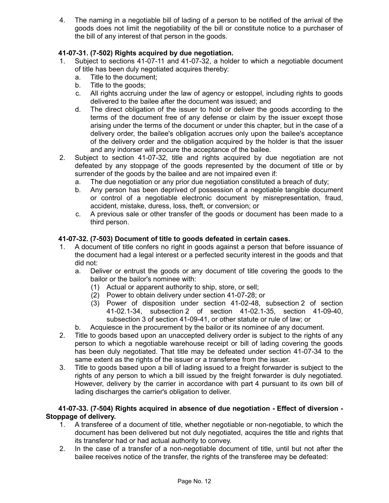4. The naming in a negotiable bill of lading of a person to be notified of the arrival of the goods does not limit the negotiability of the bill or constitute notice to a purchaser of the bill of any interest of that person in the goods.

# **41-07-31. (7-502) Rights acquired by due negotiation.**

- 1. Subject to sections 41-07-11 and 41-07-32, a holder to which a negotiable document of title has been duly negotiated acquires thereby:
	- a. Title to the document;
	- b. Title to the goods;
	- c. All rights accruing under the law of agency or estoppel, including rights to goods delivered to the bailee after the document was issued; and
	- d. The direct obligation of the issuer to hold or deliver the goods according to the terms of the document free of any defense or claim by the issuer except those arising under the terms of the document or under this chapter, but in the case of a delivery order, the bailee's obligation accrues only upon the bailee's acceptance of the delivery order and the obligation acquired by the holder is that the issuer and any indorser will procure the acceptance of the bailee.
- 2. Subject to section 41-07-32, title and rights acquired by due negotiation are not defeated by any stoppage of the goods represented by the document of title or by surrender of the goods by the bailee and are not impaired even if:
	- a. The due negotiation or any prior due negotiation constituted a breach of duty;
	- b. Any person has been deprived of possession of a negotiable tangible document or control of a negotiable electronic document by misrepresentation, fraud, accident, mistake, duress, loss, theft, or conversion; or
	- c. A previous sale or other transfer of the goods or document has been made to a third person.

## **41-07-32. (7-503) Document of title to goods defeated in certain cases.**

- 1. A document of title confers no right in goods against a person that before issuance of the document had a legal interest or a perfected security interest in the goods and that did not:
	- a. Deliver or entrust the goods or any document of title covering the goods to the bailor or the bailor's nominee with:
		- (1) Actual or apparent authority to ship, store, or sell;
		- (2) Power to obtain delivery under section 41-07-28; or
		- (3) Power of disposition under section 41-02-48, subsection 2 of section 41-02.1-34, subsection 2 of section 41-02.1-35, section 41-09-40, subsection 3 of section 41-09-41, or other statute or rule of law; or
	- b. Acquiesce in the procurement by the bailor or its nominee of any document.
- 2. Title to goods based upon an unaccepted delivery order is subject to the rights of any person to which a negotiable warehouse receipt or bill of lading covering the goods has been duly negotiated. That title may be defeated under section 41-07-34 to the same extent as the rights of the issuer or a transferee from the issuer.
- 3. Title to goods based upon a bill of lading issued to a freight forwarder is subject to the rights of any person to which a bill issued by the freight forwarder is duly negotiated. However, delivery by the carrier in accordance with part 4 pursuant to its own bill of lading discharges the carrier's obligation to deliver.

### **41-07-33. (7-504) Rights acquired in absence of due negotiation - Effect of diversion - Stoppage of delivery.**

- 1. A transferee of a document of title, whether negotiable or non-negotiable, to which the document has been delivered but not duly negotiated, acquires the title and rights that its transferor had or had actual authority to convey.
- 2. In the case of a transfer of a non-negotiable document of title, until but not after the bailee receives notice of the transfer, the rights of the transferee may be defeated: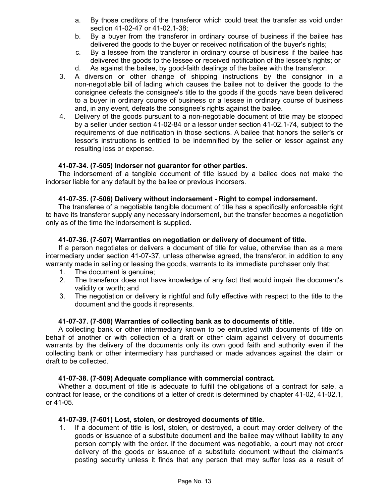- a. By those creditors of the transferor which could treat the transfer as void under section 41-02-47 or 41-02.1-38;
- b. By a buyer from the transferor in ordinary course of business if the bailee has delivered the goods to the buyer or received notification of the buyer's rights;
- c. By a lessee from the transferor in ordinary course of business if the bailee has delivered the goods to the lessee or received notification of the lessee's rights; or
- d. As against the bailee, by good-faith dealings of the bailee with the transferor.
- 3. A diversion or other change of shipping instructions by the consignor in a non-negotiable bill of lading which causes the bailee not to deliver the goods to the consignee defeats the consignee's title to the goods if the goods have been delivered to a buyer in ordinary course of business or a lessee in ordinary course of business and, in any event, defeats the consignee's rights against the bailee.
- 4. Delivery of the goods pursuant to a non-negotiable document of title may be stopped by a seller under section 41-02-84 or a lessor under section 41-02.1-74, subject to the requirements of due notification in those sections. A bailee that honors the seller's or lessor's instructions is entitled to be indemnified by the seller or lessor against any resulting loss or expense.

### **41-07-34. (7-505) Indorser not guarantor for other parties.**

The indorsement of a tangible document of title issued by a bailee does not make the indorser liable for any default by the bailee or previous indorsers.

#### **41-07-35. (7-506) Delivery without indorsement - Right to compel indorsement.**

The transferee of a negotiable tangible document of title has a specifically enforceable right to have its transferor supply any necessary indorsement, but the transfer becomes a negotiation only as of the time the indorsement is supplied.

#### **41-07-36. (7-507) Warranties on negotiation or delivery of document of title.**

If a person negotiates or delivers a document of title for value, otherwise than as a mere intermediary under section 41-07-37, unless otherwise agreed, the transferor, in addition to any warranty made in selling or leasing the goods, warrants to its immediate purchaser only that:

- 1. The document is genuine;
- 2. The transferor does not have knowledge of any fact that would impair the document's validity or worth; and
- 3. The negotiation or delivery is rightful and fully effective with respect to the title to the document and the goods it represents.

#### **41-07-37. (7-508) Warranties of collecting bank as to documents of title.**

A collecting bank or other intermediary known to be entrusted with documents of title on behalf of another or with collection of a draft or other claim against delivery of documents warrants by the delivery of the documents only its own good faith and authority even if the collecting bank or other intermediary has purchased or made advances against the claim or draft to be collected.

#### **41-07-38. (7-509) Adequate compliance with commercial contract.**

Whether a document of title is adequate to fulfill the obligations of a contract for sale, a contract for lease, or the conditions of a letter of credit is determined by chapter 41-02, 41-02.1, or 41-05.

#### **41-07-39. (7-601) Lost, stolen, or destroyed documents of title.**

1. If a document of title is lost, stolen, or destroyed, a court may order delivery of the goods or issuance of a substitute document and the bailee may without liability to any person comply with the order. If the document was negotiable, a court may not order delivery of the goods or issuance of a substitute document without the claimant's posting security unless it finds that any person that may suffer loss as a result of